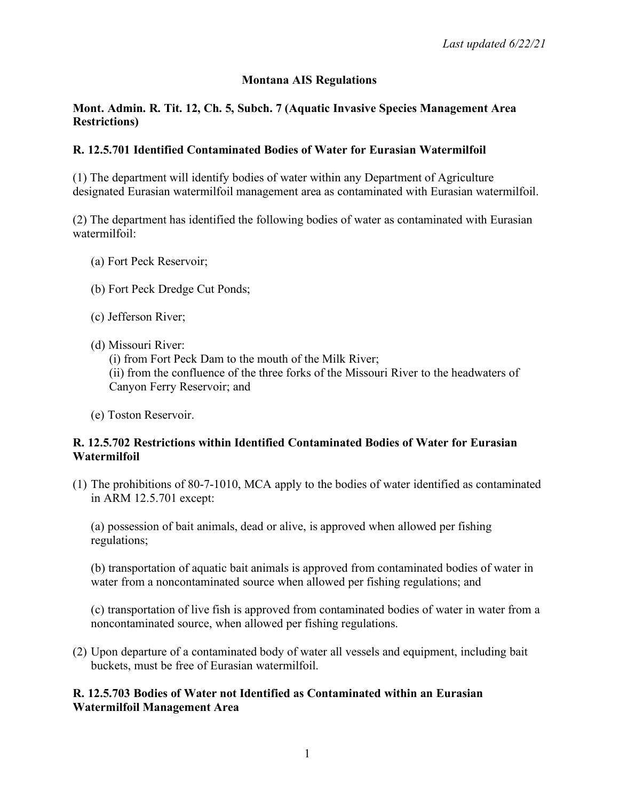# **Montana AIS Regulations**

#### **Mont. Admin. R. Tit. 12, Ch. 5, Subch. 7 (Aquatic Invasive Species Management Area Restrictions)**

## **R. 12.5.701 Identified Contaminated Bodies of Water for Eurasian Watermilfoil**

(1) The department will identify bodies of water within any Department of Agriculture designated Eurasian watermilfoil management area as contaminated with Eurasian watermilfoil.

(2) The department has identified the following bodies of water as contaminated with Eurasian watermilfoil:

- (a) Fort Peck Reservoir;
- (b) Fort Peck Dredge Cut Ponds;
- (c) Jefferson River;
- (d) Missouri River:

(i) from Fort Peck Dam to the mouth of the Milk River;

(ii) from the confluence of the three forks of the Missouri River to the headwaters of Canyon Ferry Reservoir; and

(e) Toston Reservoir.

## **R. 12.5.702 Restrictions within Identified Contaminated Bodies of Water for Eurasian Watermilfoil**

(1) The prohibitions of 80-7-1010, MCA apply to the bodies of water identified as contaminated in ARM 12.5.701 except:

(a) possession of bait animals, dead or alive, is approved when allowed per fishing regulations;

(b) transportation of aquatic bait animals is approved from contaminated bodies of water in water from a noncontaminated source when allowed per fishing regulations; and

(c) transportation of live fish is approved from contaminated bodies of water in water from a noncontaminated source, when allowed per fishing regulations.

(2) Upon departure of a contaminated body of water all vessels and equipment, including bait buckets, must be free of Eurasian watermilfoil.

#### **R. 12.5.703 Bodies of Water not Identified as Contaminated within an Eurasian Watermilfoil Management Area**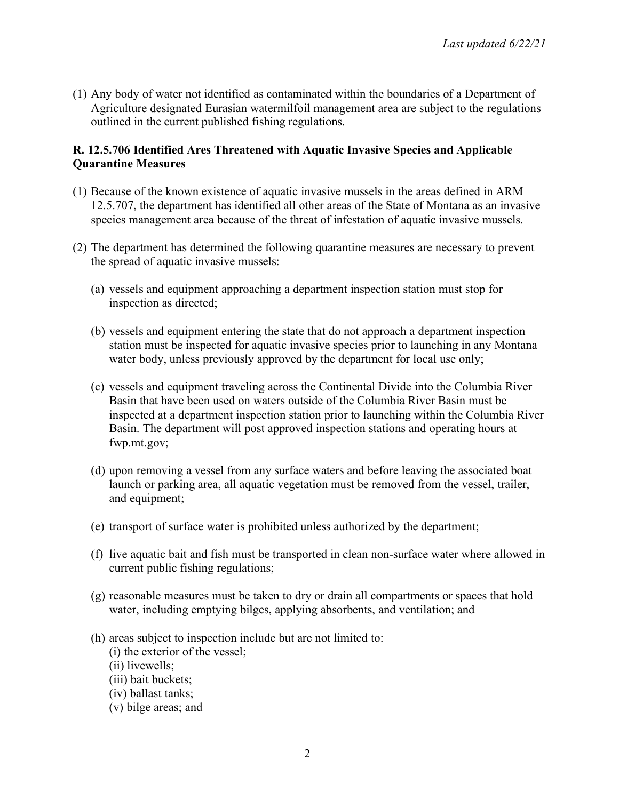(1) Any body of water not identified as contaminated within the boundaries of a Department of Agriculture designated Eurasian watermilfoil management area are subject to the regulations outlined in the current published fishing regulations.

## **R. 12.5.706 Identified Ares Threatened with Aquatic Invasive Species and Applicable Quarantine Measures**

- (1) Because of the known existence of aquatic invasive mussels in the areas defined in ARM 12.5.707, the department has identified all other areas of the State of Montana as an invasive species management area because of the threat of infestation of aquatic invasive mussels.
- (2) The department has determined the following quarantine measures are necessary to prevent the spread of aquatic invasive mussels:
	- (a) vessels and equipment approaching a department inspection station must stop for inspection as directed;
	- (b) vessels and equipment entering the state that do not approach a department inspection station must be inspected for aquatic invasive species prior to launching in any Montana water body, unless previously approved by the department for local use only;
	- (c) vessels and equipment traveling across the Continental Divide into the Columbia River Basin that have been used on waters outside of the Columbia River Basin must be inspected at a department inspection station prior to launching within the Columbia River Basin. The department will post approved inspection stations and operating hours at fwp.mt.gov;
	- (d) upon removing a vessel from any surface waters and before leaving the associated boat launch or parking area, all aquatic vegetation must be removed from the vessel, trailer, and equipment;
	- (e) transport of surface water is prohibited unless authorized by the department;
	- (f) live aquatic bait and fish must be transported in clean non-surface water where allowed in current public fishing regulations;
	- (g) reasonable measures must be taken to dry or drain all compartments or spaces that hold water, including emptying bilges, applying absorbents, and ventilation; and
	- (h) areas subject to inspection include but are not limited to:
		- (i) the exterior of the vessel;
		- (ii) livewells;
		- (iii) bait buckets;
		- (iv) ballast tanks;
		- (v) bilge areas; and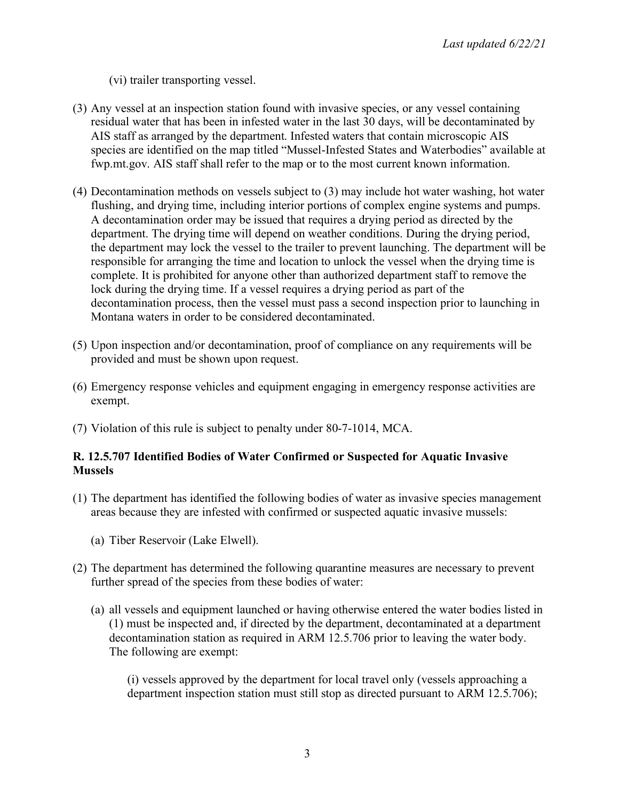(vi) trailer transporting vessel.

- (3) Any vessel at an inspection station found with invasive species, or any vessel containing residual water that has been in infested water in the last 30 days, will be decontaminated by AIS staff as arranged by the department. Infested waters that contain microscopic AIS species are identified on the map titled "Mussel-Infested States and Waterbodies" available at fwp.mt.gov. AIS staff shall refer to the map or to the most current known information.
- (4) Decontamination methods on vessels subject to (3) may include hot water washing, hot water flushing, and drying time, including interior portions of complex engine systems and pumps. A decontamination order may be issued that requires a drying period as directed by the department. The drying time will depend on weather conditions. During the drying period, the department may lock the vessel to the trailer to prevent launching. The department will be responsible for arranging the time and location to unlock the vessel when the drying time is complete. It is prohibited for anyone other than authorized department staff to remove the lock during the drying time. If a vessel requires a drying period as part of the decontamination process, then the vessel must pass a second inspection prior to launching in Montana waters in order to be considered decontaminated.
- (5) Upon inspection and/or decontamination, proof of compliance on any requirements will be provided and must be shown upon request.
- (6) Emergency response vehicles and equipment engaging in emergency response activities are exempt.
- (7) Violation of this rule is subject to penalty under 80-7-1014, MCA.

## **R. 12.5.707 Identified Bodies of Water Confirmed or Suspected for Aquatic Invasive Mussels**

- (1) The department has identified the following bodies of water as invasive species management areas because they are infested with confirmed or suspected aquatic invasive mussels:
	- (a) Tiber Reservoir (Lake Elwell).
- (2) The department has determined the following quarantine measures are necessary to prevent further spread of the species from these bodies of water:
	- (a) all vessels and equipment launched or having otherwise entered the water bodies listed in (1) must be inspected and, if directed by the department, decontaminated at a department decontamination station as required in ARM 12.5.706 prior to leaving the water body. The following are exempt:

(i) vessels approved by the department for local travel only (vessels approaching a department inspection station must still stop as directed pursuant to ARM 12.5.706);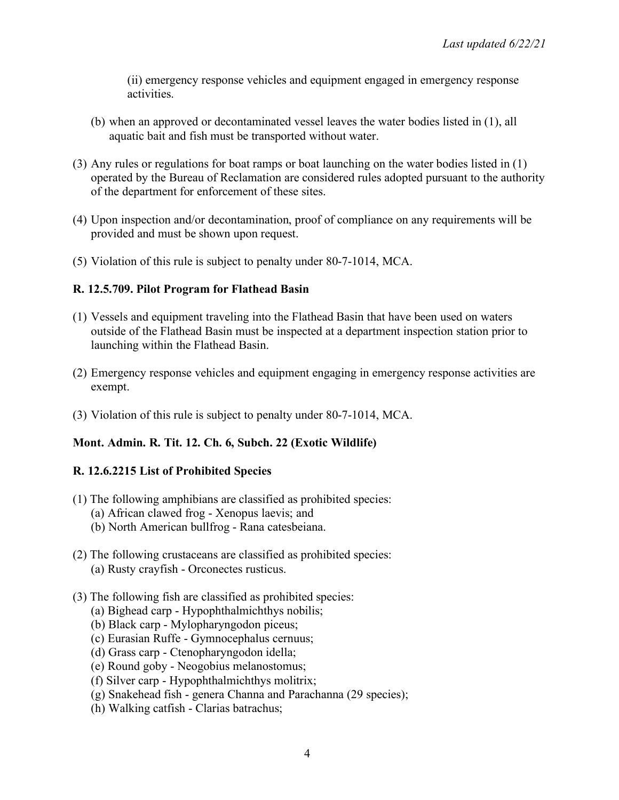(ii) emergency response vehicles and equipment engaged in emergency response activities.

- (b) when an approved or decontaminated vessel leaves the water bodies listed in (1), all aquatic bait and fish must be transported without water.
- (3) Any rules or regulations for boat ramps or boat launching on the water bodies listed in (1) operated by the Bureau of Reclamation are considered rules adopted pursuant to the authority of the department for enforcement of these sites.
- (4) Upon inspection and/or decontamination, proof of compliance on any requirements will be provided and must be shown upon request.
- (5) Violation of this rule is subject to penalty under 80-7-1014, MCA.

## **R. 12.5.709. Pilot Program for Flathead Basin**

- (1) Vessels and equipment traveling into the Flathead Basin that have been used on waters outside of the Flathead Basin must be inspected at a department inspection station prior to launching within the Flathead Basin.
- (2) Emergency response vehicles and equipment engaging in emergency response activities are exempt.
- (3) Violation of this rule is subject to penalty under 80-7-1014, MCA.

## **Mont. Admin. R. Tit. 12. Ch. 6, Subch. 22 (Exotic Wildlife)**

## **R. 12.6.2215 List of Prohibited Species**

- (1) The following amphibians are classified as prohibited species:
	- (a) African clawed frog Xenopus laevis; and
	- (b) North American bullfrog Rana catesbeiana.
- (2) The following crustaceans are classified as prohibited species: (a) Rusty crayfish - Orconectes rusticus.
- (3) The following fish are classified as prohibited species:
	- (a) Bighead carp Hypophthalmichthys nobilis;
	- (b) Black carp Mylopharyngodon piceus;
	- (c) Eurasian Ruffe Gymnocephalus cernuus;
	- (d) Grass carp Ctenopharyngodon idella;
	- (e) Round goby Neogobius melanostomus;
	- (f) Silver carp Hypophthalmichthys molitrix;
	- (g) Snakehead fish genera Channa and Parachanna (29 species);
	- (h) Walking catfish Clarias batrachus;